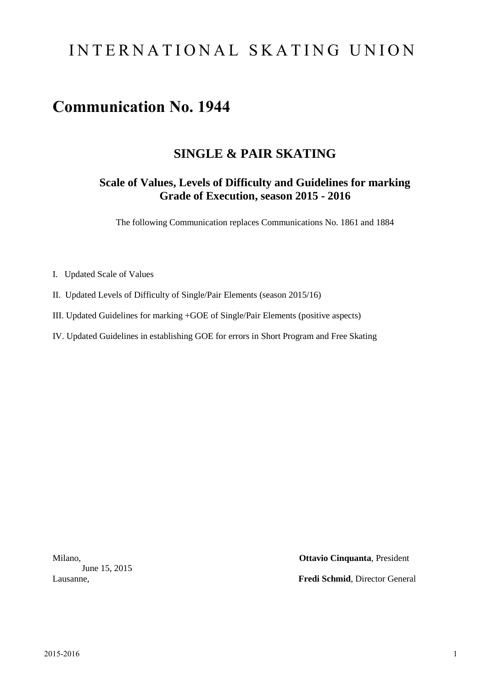# INTERNATIONAL SKATING UNION

# **Communication No. 1944**

## **SINGLE & PAIR SKATING**

## **Scale of Values, Levels of Difficulty and Guidelines for marking Grade of Execution, season 2015 - 2016**

The following Communication replaces Communications No. 1861 and 1884

- I. Updated Scale of Values
- II. Updated Levels of Difficulty of Single/Pair Elements (season 2015/16)
- III. Updated Guidelines for marking +GOE of Single/Pair Elements (positive aspects)
- IV. Updated Guidelines in establishing GOE for errors in Short Program and Free Skating

June 15, 2015

Milano, **Ottavio Cinquanta**, President Lausanne, **Fredi Schmid**, Director General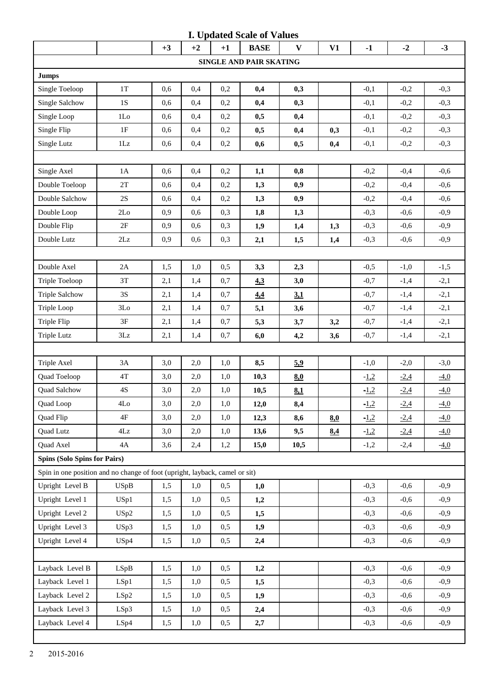|                                                                             |                 |      |      |      | <b>I. Updated Scale of Values</b> |                |     |        |        |        |
|-----------------------------------------------------------------------------|-----------------|------|------|------|-----------------------------------|----------------|-----|--------|--------|--------|
|                                                                             |                 | $+3$ | $+2$ | $+1$ | <b>BASE</b>                       | $\mathbf{V}$   | V1  | $-1$   | $-2$   | $-3$   |
|                                                                             |                 |      |      |      | SINGLE AND PAIR SKATING           |                |     |        |        |        |
| <b>Jumps</b>                                                                |                 |      |      |      |                                   |                |     |        |        |        |
| Single Toeloop                                                              | 1T              | 0,6  | 0,4  | 0,2  | 0,4                               | 0,3            |     | $-0,1$ | $-0,2$ | $-0,3$ |
| Single Salchow                                                              | 1S              | 0,6  | 0,4  | 0,2  | 0,4                               | 0,3            |     | $-0,1$ | $-0,2$ | $-0,3$ |
| Single Loop                                                                 | 1 <sub>LO</sub> | 0,6  | 0,4  | 0,2  | 0,5                               | 0,4            |     | $-0,1$ | $-0,2$ | $-0,3$ |
| Single Flip                                                                 | 1F              | 0,6  | 0,4  | 0,2  | 0,5                               | 0,4            | 0,3 | $-0,1$ | $-0,2$ | $-0,3$ |
| Single Lutz                                                                 | 1Lz             | 0,6  | 0,4  | 0,2  | 0,6                               | 0,5            | 0,4 | $-0,1$ | $-0,2$ | $-0,3$ |
|                                                                             |                 |      |      |      |                                   |                |     |        |        |        |
| Single Axel                                                                 | 1A              | 0,6  | 0,4  | 0,2  | 1,1                               | 0,8            |     | $-0,2$ | $-0,4$ | $-0,6$ |
| Double Toeloop                                                              | 2T              | 0,6  | 0,4  | 0,2  | 1,3                               | 0,9            |     | $-0,2$ | $-0,4$ | $-0,6$ |
| Double Salchow                                                              | $2\mathrm{S}$   | 0,6  | 0,4  | 0,2  | 1,3                               | 0,9            |     | $-0,2$ | $-0,4$ | $-0,6$ |
| Double Loop                                                                 | 2Lo             | 0,9  | 0,6  | 0,3  | 1,8                               | 1,3            |     | $-0,3$ | $-0,6$ | $-0,9$ |
| Double Flip                                                                 | 2F              | 0,9  | 0,6  | 0,3  | 1,9                               | 1,4            | 1,3 | $-0,3$ | $-0,6$ | $-0,9$ |
| Double Lutz                                                                 | $2\mathbf{L}z$  | 0,9  | 0,6  | 0,3  | 2,1                               | 1,5            | 1,4 | $-0,3$ | $-0,6$ | $-0,9$ |
|                                                                             |                 |      |      |      |                                   |                |     |        |        |        |
| Double Axel                                                                 | $2\mathrm{A}$   | 1,5  | 1,0  | 0,5  | 3,3                               | 2,3            |     | $-0,5$ | $-1,0$ | $-1,5$ |
| Triple Toeloop                                                              | 3T              | 2,1  | 1,4  | 0,7  | 4.3                               | 3,0            |     | $-0,7$ | $-1,4$ | $-2,1$ |
| <b>Triple Salchow</b>                                                       | 3S              | 2,1  | 1,4  | 0,7  | 4,4                               | 3 <sub>1</sub> |     | $-0,7$ | $-1,4$ | $-2,1$ |
| Triple Loop                                                                 | 3Lo             | 2,1  | 1,4  | 0,7  | 5,1                               | 3,6            |     | $-0,7$ | $-1,4$ | $-2,1$ |
| Triple Flip                                                                 | 3F              | 2,1  | 1,4  | 0,7  | 5,3                               | 3,7            | 3,2 | $-0,7$ | $-1,4$ | $-2,1$ |
| <b>Triple Lutz</b>                                                          | 3Lz             | 2,1  | 1,4  | 0,7  | 6,0                               | 4,2            | 3,6 | $-0,7$ | $-1,4$ | $-2,1$ |
|                                                                             |                 |      |      |      |                                   |                |     |        |        |        |
| Triple Axel                                                                 | 3A              | 3,0  | 2,0  | 1,0  | 8,5                               | 5.9            |     | $-1,0$ | $-2,0$ | $-3,0$ |
| Quad Toeloop                                                                | $4\mathrm{T}$   | 3,0  | 2,0  | 1,0  | 10,3                              | 8.0            |     | $-1,2$ | $-2,4$ | $-4,0$ |
| Quad Salchow                                                                | $4S$            | 3,0  | 2,0  | 1,0  | 10,5                              | 8.1            |     | $-1,2$ | $-2,4$ | $-4,0$ |
| Quad Loop                                                                   | 4Lo             | 3,0  | 2,0  | 1,0  | 12,0                              | 8,4            |     | $-1,2$ | $-2,4$ | $-4,0$ |
| Quad Flip                                                                   | 4F              | 3,0  | 2,0  | 1,0  | 12,3                              | 8,6            | 8.0 | $-1,2$ | $-2,4$ | $-4,0$ |
| Quad Lutz                                                                   | $4\mathsf{Lz}$  | 3,0  | 2,0  | 1,0  | 13,6                              | 9,5            | 8,4 | $-1,2$ | $-2,4$ | $-4,0$ |
| Quad Axel                                                                   | 4A              | 3,6  | 2,4  | 1,2  | 15,0                              | 10,5           |     | $-1,2$ | $-2,4$ | $-4,0$ |
| <b>Spins (Solo Spins for Pairs)</b>                                         |                 |      |      |      |                                   |                |     |        |        |        |
| Spin in one position and no change of foot (upright, layback, camel or sit) |                 |      |      |      |                                   |                |     |        |        |        |
| Upright Level B                                                             | <b>USpB</b>     | 1,5  | 1,0  | 0,5  | 1,0                               |                |     | $-0,3$ | $-0,6$ | $-0,9$ |
| Upright Level 1                                                             | USp1            | 1,5  | 1,0  | 0,5  | 1,2                               |                |     | $-0,3$ | $-0,6$ | $-0,9$ |
| Upright Level 2                                                             | USp2            | 1,5  | 1,0  | 0,5  | 1,5                               |                |     | $-0,3$ | $-0,6$ | $-0,9$ |
| Upright Level 3                                                             | USp3            | 1,5  | 1,0  | 0,5  | 1,9                               |                |     | $-0,3$ | $-0,6$ | $-0,9$ |
| Upright Level 4                                                             | USp4            | 1,5  | 1,0  | 0,5  | 2,4                               |                |     | $-0,3$ | $-0,6$ | $-0,9$ |
|                                                                             |                 |      |      |      |                                   |                |     |        |        |        |
| Layback Level B                                                             | LSpB            | 1,5  | 1,0  | 0,5  | 1,2                               |                |     | $-0,3$ | $-0,6$ | $-0,9$ |
| Layback Level 1                                                             | LSp1            | 1,5  | 1,0  | 0,5  | 1,5                               |                |     | $-0,3$ | $-0,6$ | $-0,9$ |
| Layback Level 2                                                             | LSp2            | 1,5  | 1,0  | 0,5  | 1,9                               |                |     | $-0,3$ | $-0,6$ | $-0,9$ |
| Layback Level 3                                                             | LSp3            | 1,5  | 1,0  | 0,5  | 2,4                               |                |     | $-0,3$ | $-0,6$ | $-0,9$ |
| Layback Level 4                                                             | LSp4            | 1,5  | 1,0  | 0,5  | 2,7                               |                |     | $-0,3$ | $-0,6$ | $-0,9$ |
|                                                                             |                 |      |      |      |                                   |                |     |        |        |        |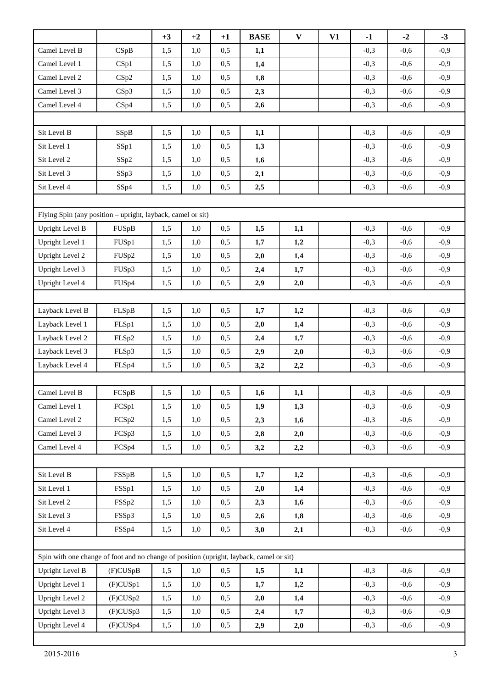|                                                                                         |          | $+3$ | $+2$ | $+1$ | <b>BASE</b> | $\mathbf{V}$ | V1 | $-1$   | $-2$   | $-3$   |
|-----------------------------------------------------------------------------------------|----------|------|------|------|-------------|--------------|----|--------|--------|--------|
| Camel Level B                                                                           | CSpB     | 1,5  | 1,0  | 0,5  | 1,1         |              |    | $-0,3$ | $-0,6$ | $-0,9$ |
| Camel Level 1                                                                           | CSp1     | 1,5  | 1,0  | 0,5  | 1,4         |              |    | $-0,3$ | $-0,6$ | $-0,9$ |
| Camel Level 2                                                                           | CSp2     | 1,5  | 1,0  | 0,5  | 1,8         |              |    | $-0,3$ | $-0,6$ | $-0,9$ |
| Camel Level 3                                                                           | CSp3     | 1,5  | 1,0  | 0,5  | 2,3         |              |    | $-0,3$ | $-0,6$ | $-0,9$ |
| Camel Level 4                                                                           | CSp4     | 1,5  | 1,0  | 0,5  | 2,6         |              |    | $-0,3$ | $-0,6$ | $-0,9$ |
|                                                                                         |          |      |      |      |             |              |    |        |        |        |
| Sit Level B                                                                             | SSpB     | 1,5  | 1,0  | 0,5  | 1,1         |              |    | $-0,3$ | $-0,6$ | $-0,9$ |
| Sit Level 1                                                                             | SSp1     | 1,5  | 1,0  | 0,5  | 1,3         |              |    | $-0,3$ | $-0,6$ | $-0,9$ |
| Sit Level 2                                                                             | SSp2     | 1,5  | 1,0  | 0,5  | 1,6         |              |    | $-0,3$ | $-0,6$ | $-0,9$ |
| Sit Level 3                                                                             | SSp3     | 1,5  | 1,0  | 0,5  | 2,1         |              |    | $-0,3$ | $-0,6$ | $-0,9$ |
| Sit Level 4                                                                             | SSp4     | 1,5  | 1,0  | 0,5  | 2,5         |              |    | $-0,3$ | $-0,6$ | $-0,9$ |
|                                                                                         |          |      |      |      |             |              |    |        |        |        |
| Flying Spin (any position – upright, layback, camel or sit)                             |          |      |      |      |             |              |    |        |        |        |
| <b>Upright Level B</b>                                                                  | FUSpB    | 1,5  | 1,0  | 0,5  | 1,5         | 1,1          |    | $-0,3$ | $-0,6$ | $-0,9$ |
| Upright Level 1                                                                         | FUSp1    | 1,5  | 1,0  | 0,5  | 1,7         | 1,2          |    | $-0,3$ | $-0,6$ | $-0,9$ |
| <b>Upright Level 2</b>                                                                  | FUSp2    | 1,5  | 1,0  | 0,5  | 2,0         | 1,4          |    | $-0,3$ | $-0,6$ | $-0,9$ |
| Upright Level 3                                                                         | FUSp3    | 1,5  | 1,0  | 0,5  | 2,4         | 1,7          |    | $-0,3$ | $-0,6$ | $-0,9$ |
| Upright Level 4                                                                         | FUSp4    | 1,5  | 1,0  | 0,5  | 2,9         | 2,0          |    | $-0,3$ | $-0,6$ | $-0,9$ |
|                                                                                         |          |      |      |      |             |              |    |        |        |        |
| Layback Level B                                                                         | FLSpB    | 1,5  | 1,0  | 0,5  | 1,7         | 1,2          |    | $-0,3$ | $-0,6$ | $-0,9$ |
| Layback Level 1                                                                         | FLSp1    | 1,5  | 1,0  | 0,5  | 2,0         | 1,4          |    | $-0,3$ | $-0,6$ | $-0,9$ |
| Layback Level 2                                                                         | FLSp2    | 1,5  | 1,0  | 0,5  | 2,4         | 1,7          |    | $-0,3$ | $-0,6$ | $-0,9$ |
| Layback Level 3                                                                         | FLSp3    | 1,5  | 1,0  | 0,5  | 2,9         | 2,0          |    | $-0,3$ | $-0,6$ | $-0,9$ |
| Layback Level 4                                                                         | FLSp4    | 1,5  | 1,0  | 0,5  | 3,2         | 2,2          |    | $-0,3$ | $-0,6$ | $-0,9$ |
|                                                                                         |          |      |      |      |             |              |    |        |        |        |
| Camel Level B                                                                           | FCSpB    | 1,5  | 1,0  | 0,5  | 1,6         | 1,1          |    | $-0,3$ | $-0,6$ | $-0,9$ |
| Camel Level 1                                                                           | FCSp1    | 1,5  | 1,0  | 0,5  | 1,9         | 1,3          |    | $-0,3$ | $-0,6$ | $-0,9$ |
| Camel Level 2                                                                           | FCSp2    | 1,5  | 1,0  | 0,5  | 2,3         | 1,6          |    | $-0,3$ | $-0,6$ | $-0,9$ |
| Camel Level 3                                                                           | FCSp3    | 1,5  | 1,0  | 0,5  | 2,8         | 2,0          |    | $-0,3$ | $-0,6$ | $-0,9$ |
| Camel Level 4                                                                           | FCSp4    | 1,5  | 1,0  | 0,5  | 3,2         | 2,2          |    | $-0,3$ | $-0,6$ | $-0,9$ |
|                                                                                         |          |      |      |      |             |              |    |        |        |        |
| Sit Level B                                                                             | FSSpB    | 1,5  | 1,0  | 0,5  | 1,7         | 1,2          |    | $-0,3$ | $-0,6$ | $-0,9$ |
| Sit Level 1                                                                             | FSSp1    | 1,5  | 1,0  | 0,5  | 2,0         | 1,4          |    | $-0,3$ | $-0,6$ | $-0,9$ |
| Sit Level 2                                                                             | FSSp2    | 1,5  | 1,0  | 0,5  | 2,3         | 1,6          |    | $-0,3$ | $-0,6$ | $-0,9$ |
| Sit Level 3                                                                             | FSSp3    | 1,5  | 1,0  | 0,5  | 2,6         | 1,8          |    | $-0,3$ | $-0,6$ | $-0,9$ |
| Sit Level 4                                                                             | FSSp4    | 1,5  | 1,0  | 0,5  | 3,0         | 2,1          |    | $-0,3$ | $-0,6$ | $-0,9$ |
|                                                                                         |          |      |      |      |             |              |    |        |        |        |
| Spin with one change of foot and no change of position (upright, layback, camel or sit) |          |      |      |      |             |              |    |        |        |        |
| Upright Level B                                                                         | (F)CUSpB | 1,5  | 1,0  | 0,5  | 1,5         | 1,1          |    | $-0,3$ | $-0,6$ | $-0,9$ |
| Upright Level 1                                                                         | (F)CUSp1 | 1,5  | 1,0  | 0,5  | 1,7         | 1,2          |    | $-0,3$ | $-0,6$ | $-0,9$ |
| Upright Level 2                                                                         | (F)CUSp2 | 1,5  | 1,0  | 0,5  | 2,0         | 1,4          |    | $-0,3$ | $-0,6$ | $-0,9$ |
| Upright Level 3                                                                         | (F)CUSp3 | 1,5  | 1,0  | 0,5  | 2,4         | 1,7          |    | $-0,3$ | $-0,6$ | $-0,9$ |
| Upright Level 4                                                                         | (F)CUSp4 | 1,5  | 1,0  | 0,5  | 2,9         | 2,0          |    | $-0,3$ | $-0,6$ | $-0,9$ |

п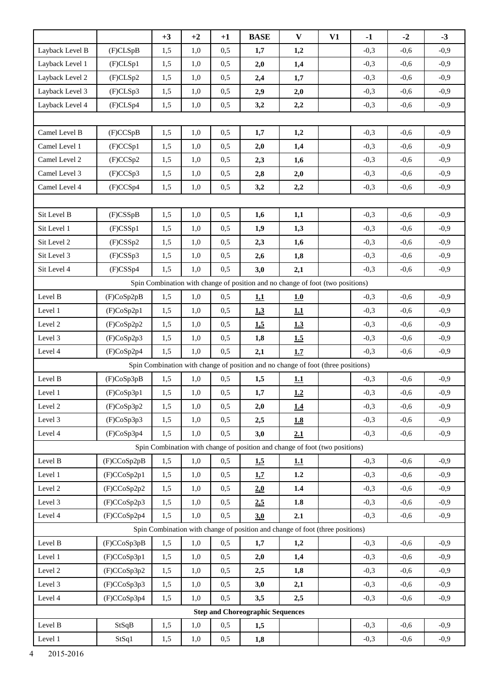|                 |             | $+3$ | $+2$ | $+1$ | <b>BASE</b>                                                                      | $\mathbf{V}$ | V1 | $-1$   | $-2$   | $-3$   |
|-----------------|-------------|------|------|------|----------------------------------------------------------------------------------|--------------|----|--------|--------|--------|
| Layback Level B | (F)CLSpB    | 1,5  | 1,0  | 0,5  | 1,7                                                                              | 1,2          |    | $-0,3$ | $-0,6$ | $-0,9$ |
| Layback Level 1 | (F)CLSp1    | 1,5  | 1,0  | 0,5  | 2,0                                                                              | 1,4          |    | $-0,3$ | $-0,6$ | $-0,9$ |
| Layback Level 2 | (F)CLSp2    | 1,5  | 1,0  | 0,5  | 2,4                                                                              | 1,7          |    | $-0,3$ | $-0,6$ | $-0,9$ |
| Layback Level 3 | (F)CLSp3    | 1,5  | 1,0  | 0,5  | 2,9                                                                              | 2,0          |    | $-0,3$ | $-0,6$ | $-0,9$ |
| Layback Level 4 | (F)CLSp4    | 1,5  | 1,0  | 0,5  | 3,2                                                                              | 2,2          |    | $-0,3$ | $-0,6$ | $-0,9$ |
|                 |             |      |      |      |                                                                                  |              |    |        |        |        |
| Camel Level B   | (F)CCSpB    | 1,5  | 1,0  | 0,5  | 1,7                                                                              | 1,2          |    | $-0,3$ | $-0,6$ | $-0,9$ |
| Camel Level 1   | (F)CCSp1    | 1,5  | 1,0  | 0,5  | 2,0                                                                              | 1,4          |    | $-0,3$ | $-0,6$ | $-0,9$ |
| Camel Level 2   | (F)CCSp2    | 1,5  | 1,0  | 0,5  | 2,3                                                                              | 1,6          |    | $-0,3$ | $-0,6$ | $-0,9$ |
| Camel Level 3   | (F)CCSp3    | 1,5  | 1,0  | 0,5  | 2,8                                                                              | 2,0          |    | $-0,3$ | $-0,6$ | $-0,9$ |
| Camel Level 4   | (F)CCSp4    | 1,5  | 1,0  | 0,5  | 3,2                                                                              | 2,2          |    | $-0,3$ | $-0,6$ | $-0,9$ |
|                 |             |      |      |      |                                                                                  |              |    |        |        |        |
| Sit Level B     | $(F)$ CSSpB | 1,5  | 1,0  | 0,5  | 1,6                                                                              | 1,1          |    | $-0,3$ | $-0,6$ | $-0,9$ |
| Sit Level 1     | $(F)$ CSSp1 | 1,5  | 1,0  | 0,5  | 1,9                                                                              | 1,3          |    | $-0,3$ | $-0,6$ | $-0,9$ |
| Sit Level 2     | $(F)$ CSSp2 | 1,5  | 1,0  | 0,5  | 2,3                                                                              | 1,6          |    | $-0,3$ | $-0,6$ | $-0,9$ |
| Sit Level 3     | $(F)$ CSSp3 | 1,5  | 1,0  | 0,5  | 2,6                                                                              | 1,8          |    | $-0,3$ | $-0,6$ | $-0,9$ |
| Sit Level 4     | $(F)$ CSSp4 | 1,5  | 1,0  | 0,5  | 3,0                                                                              | 2,1          |    | $-0,3$ | $-0,6$ | $-0,9$ |
|                 |             |      |      |      | Spin Combination with change of position and no change of foot (two positions)   |              |    |        |        |        |
| Level B         | (F)CoSp2pB  | 1,5  | 1,0  | 0,5  | 1,1                                                                              | 1.0          |    | $-0,3$ | $-0,6$ | $-0,9$ |
| Level 1         | (F)CoSp2p1  | 1,5  | 1,0  | 0,5  | 1.3                                                                              | 1.1          |    | $-0,3$ | $-0,6$ | $-0,9$ |
| Level 2         | (F)CoSp2p2  | 1,5  | 1,0  | 0,5  | 1.5                                                                              | 1.3          |    | $-0,3$ | $-0,6$ | $-0,9$ |
| Level 3         | (F)CoSp2p3  | 1,5  | 1,0  | 0,5  | 1,8                                                                              | 1.5          |    | $-0,3$ | $-0,6$ | $-0,9$ |
| Level 4         | (F)CoSp2p4  | 1,5  | 1,0  | 0,5  | 2,1                                                                              | 1.7          |    | $-0,3$ | $-0,6$ | $-0,9$ |
|                 |             |      |      |      | Spin Combination with change of position and no change of foot (three positions) |              |    |        |        |        |
| Level B         | (F)CoSp3pB  | 1,5  | 1,0  | 0,5  | 1,5                                                                              | 1.1          |    | $-0,3$ | $-0,6$ | $-0,9$ |
| Level 1         | (F)CoSp3p1  | 1,5  | 1,0  | 0,5  | 1,7                                                                              | 1.2          |    | $-0,3$ | $-0,6$ | $-0,9$ |
| Level 2         | (F)CoSp3p2  | 1,5  | 1,0  | 0,5  | 2,0                                                                              | 1.4          |    | $-0,3$ | $-0,6$ | $-0,9$ |
| Level 3         | (F)CoSp3p3  | 1,5  | 1,0  | 0,5  | 2,5                                                                              | 1.8          |    | $-0,3$ | $-0,6$ | $-0,9$ |
| Level 4         | (F)CoSp3p4  | 1,5  | 1,0  | 0,5  | 3,0                                                                              | 2.1          |    | $-0,3$ | $-0,6$ | $-0,9$ |
|                 |             |      |      |      | Spin Combination with change of position and change of foot (two positions)      |              |    |        |        |        |
| Level B         | (F)CCoSp2pB | 1,5  | 1,0  | 0,5  | 1,5                                                                              | 1.1          |    | $-0,3$ | $-0,6$ | $-0,9$ |
| Level 1         | (F)CCoSp2p1 | 1,5  | 1,0  | 0,5  | 1.7                                                                              | 1.2          |    | $-0,3$ | $-0,6$ | $-0,9$ |
| Level 2         | (F)CCoSp2p2 | 1,5  | 1,0  | 0,5  | 2.0                                                                              | 1.4          |    | $-0,3$ | $-0,6$ | $-0,9$ |
| Level 3         | (F)CCoSp2p3 | 1,5  | 1,0  | 0,5  | 2,5                                                                              | $1.8\,$      |    | $-0,3$ | $-0,6$ | $-0,9$ |
| Level 4         | (F)CCoSp2p4 | 1,5  | 1,0  | 0,5  | 3.0                                                                              | 2.1          |    | $-0,3$ | $-0,6$ | $-0,9$ |
|                 |             |      |      |      | Spin Combination with change of position and change of foot (three positions)    |              |    |        |        |        |
| Level B         | (F)CCoSp3pB | 1,5  | 1,0  | 0,5  | 1,7                                                                              | 1,2          |    | $-0,3$ | $-0,6$ | $-0,9$ |
| Level 1         | (F)CCoSp3p1 | 1,5  | 1,0  | 0,5  | 2,0                                                                              | 1,4          |    | $-0,3$ | $-0,6$ | $-0,9$ |
| Level 2         | (F)CCoSp3p2 | 1,5  | 1,0  | 0,5  | 2,5                                                                              | 1,8          |    | $-0,3$ | $-0,6$ | $-0,9$ |
| Level 3         | (F)CCoSp3p3 | 1,5  | 1,0  | 0,5  | 3,0                                                                              | 2,1          |    | $-0,3$ | $-0,6$ | $-0,9$ |
| Level 4         | (F)CCoSp3p4 | 1,5  | 1,0  | 0,5  | 3,5                                                                              | 2,5          |    | $-0,3$ | $-0,6$ | $-0,9$ |
|                 |             |      |      |      | <b>Step and Choreographic Sequences</b>                                          |              |    |        |        |        |
| Level B         | StSqB       | 1,5  | 1,0  | 0,5  | 1,5                                                                              |              |    | $-0,3$ | $-0,6$ | $-0,9$ |
| Level 1         | StSq1       | 1,5  | 1,0  | 0,5  | 1,8                                                                              |              |    | $-0,3$ | $-0,6$ | $-0,9$ |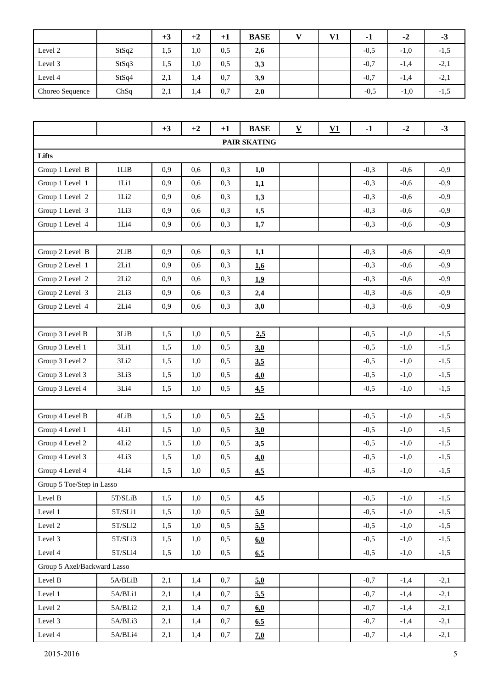|                 |       | $+3$ | $+2$ | $+1$ | <b>BASE</b> | $\mathbf{v}$ | V1 | $\mathbf -1$ | -2     | - 2    |
|-----------------|-------|------|------|------|-------------|--------------|----|--------------|--------|--------|
| Level 2         | StSq2 | 1,5  | 1,0  | 0,5  | 2,6         |              |    | $-0.5$       | $-1,0$ | $-1,5$ |
| Level 3         | StSq3 | 1.5  | 0.1  | 0.5  | 3,3         |              |    | $-0.7$       | $-1,4$ | $-2,1$ |
| Level 4         | StSq4 | 2,1  | 1,4  | 0,7  | 3,9         |              |    | $-0.7$       | $-1,4$ | $-2,1$ |
| Choreo Sequence | ChSq  | 2,1  | 1,4  | 0,7  | 2.0         |              |    | $-0.5$       | $-1,0$ | $-1,5$ |

|                             |           | $+3$ | $+2$ | $+1$ | <b>BASE</b>  | ${\bf V}$ | $\underline{\mathbf{V1}}$ | $-1$   | $-2$   | $-3$   |
|-----------------------------|-----------|------|------|------|--------------|-----------|---------------------------|--------|--------|--------|
|                             |           |      |      |      | PAIR SKATING |           |                           |        |        |        |
| Lifts                       |           |      |      |      |              |           |                           |        |        |        |
| Group 1 Level B             | 1LiB      | 0,9  | 0,6  | 0,3  | 1,0          |           |                           | $-0,3$ | $-0,6$ | $-0,9$ |
| Group 1 Level 1             | 1Li1      | 0,9  | 0,6  | 0,3  | 1,1          |           |                           | $-0,3$ | $-0,6$ | $-0,9$ |
| Group 1 Level 2             | 1Li2      | 0,9  | 0,6  | 0,3  | 1,3          |           |                           | $-0,3$ | $-0,6$ | $-0,9$ |
| Group 1 Level 3             | 1Li3      | 0,9  | 0,6  | 0,3  | 1,5          |           |                           | $-0,3$ | $-0,6$ | $-0,9$ |
| Group 1 Level 4             | 1Li4      | 0,9  | 0,6  | 0,3  | 1,7          |           |                           | $-0,3$ | $-0,6$ | $-0,9$ |
|                             |           |      |      |      |              |           |                           |        |        |        |
| Group 2 Level B             | 2LiB      | 0,9  | 0,6  | 0,3  | 1,1          |           |                           | $-0,3$ | $-0,6$ | $-0,9$ |
| Group 2 Level 1             | 2Li1      | 0,9  | 0,6  | 0,3  | 1.6          |           |                           | $-0,3$ | $-0,6$ | $-0,9$ |
| Group 2 Level 2             | 2Li2      | 0,9  | 0,6  | 0,3  | 1.9          |           |                           | $-0,3$ | $-0,6$ | $-0,9$ |
| Group 2 Level 3             | 2Li3      | 0,9  | 0,6  | 0,3  | 2,4          |           |                           | $-0,3$ | $-0,6$ | $-0,9$ |
| Group 2 Level 4             | 2Li4      | 0,9  | 0,6  | 0,3  | 3,0          |           |                           | $-0,3$ | $-0,6$ | $-0,9$ |
|                             |           |      |      |      |              |           |                           |        |        |        |
| Group 3 Level B             | 3LiB      | 1,5  | 1,0  | 0,5  | 2,5          |           |                           | $-0,5$ | $-1,0$ | $-1,5$ |
| Group 3 Level 1             | 3Li1      | 1,5  | 1,0  | 0,5  | 3.0          |           |                           | $-0,5$ | $-1,0$ | $-1,5$ |
| Group 3 Level 2             | 3Li2      | 1,5  | 1,0  | 0,5  | 3.5          |           |                           | $-0,5$ | $-1,0$ | $-1,5$ |
| Group 3 Level 3             | 3Li3      | 1,5  | 1,0  | 0,5  | 4.0          |           |                           | $-0,5$ | $-1,0$ | $-1,5$ |
| Group 3 Level 4             | 3Li4      | 1,5  | 1,0  | 0,5  | 4.5          |           |                           | $-0,5$ | $-1,0$ | $-1,5$ |
|                             |           |      |      |      |              |           |                           |        |        |        |
| Group 4 Level B             | 4LiB      | 1,5  | 1,0  | 0,5  | 2,5          |           |                           | $-0,5$ | $-1,0$ | $-1,5$ |
| Group 4 Level 1             | 4Li1      | 1,5  | 1,0  | 0,5  | 3.0          |           |                           | $-0,5$ | $-1,0$ | $-1,5$ |
| Group 4 Level 2             | 4Li2      | 1,5  | 1,0  | 0,5  | 3.5          |           |                           | $-0,5$ | $-1,0$ | $-1,5$ |
| Group 4 Level 3             | 4Li3      | 1,5  | 1,0  | 0,5  | 4.0          |           |                           | $-0,5$ | $-1,0$ | $-1,5$ |
| Group 4 Level 4             | 4Li4      | 1,5  | 1,0  | 0,5  | 4,5          |           |                           | $-0,5$ | $-1,0$ | $-1,5$ |
| Group 5 Toe/Step in Lasso   |           |      |      |      |              |           |                           |        |        |        |
| Level B                     | $5T/SLiB$ | 1,5  | 1,0  | 0,5  | 4.5          |           |                           | $-0,5$ | $-1,0$ | $-1,5$ |
| Level 1                     | 5T/SLi1   | 1,5  | 1,0  | 0,5  | 5.0          |           |                           | $-0,5$ | $-1,0$ | $-1,5$ |
| Level 2                     | $5T/SLi2$ | 1,5  | 1,0  | 0,5  | 5.5          |           |                           | $-0,5$ | $-1,0$ | $-1,5$ |
| Level 3                     | 5T/SLi3   | 1,5  | 1,0  | 0,5  | 60           |           |                           | $-0,5$ | $-1,0$ | $-1,5$ |
| Level 4                     | 5T/SLi4   | 1,5  | 1,0  | 0,5  | 6.5          |           |                           | $-0,5$ | $-1,0$ | $-1,5$ |
| Group 5 Axel/Backward Lasso |           |      |      |      |              |           |                           |        |        |        |
| Level B                     | 5A/BLiB   | 2,1  | 1,4  | 0,7  | 5.0          |           |                           | $-0,7$ | $-1,4$ | $-2,1$ |
| Level 1                     | 5A/BLi1   | 2,1  | 1,4  | 0,7  | 5.5          |           |                           | $-0,7$ | $-1,4$ | $-2,1$ |
| Level 2                     | 5A/BLi2   | 2,1  | 1,4  | 0,7  | 6.0          |           |                           | $-0,7$ | $-1,4$ | $-2,1$ |
| Level 3                     | 5A/BLi3   | 2,1  | 1,4  | 0,7  | 6.5          |           |                           | $-0,7$ | $-1,4$ | $-2,1$ |
| Level 4                     | 5A/BLi4   | 2,1  | 1,4  | 0,7  | 7.0          |           |                           | $-0,7$ | $-1,4$ | $-2,1$ |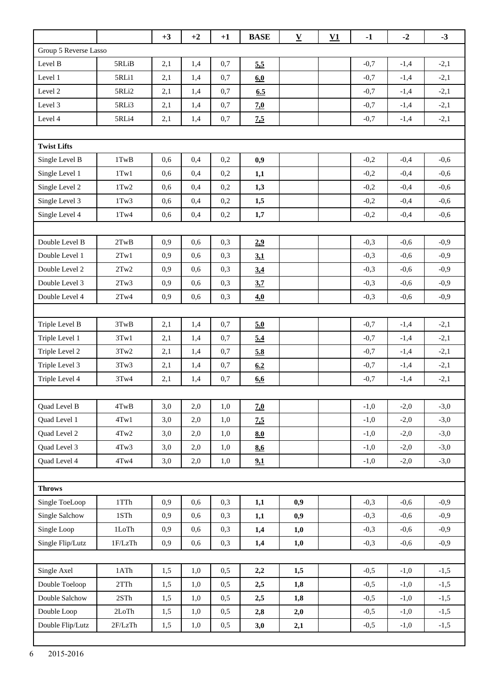|                       |                             | $+3$ | $+2$ | $+1$    | <b>BASE</b> | $\underline{\mathbf{V}}$ | $\underline{\mathbf{V1}}$ | $-1$   | $-2$   | $-3$   |
|-----------------------|-----------------------------|------|------|---------|-------------|--------------------------|---------------------------|--------|--------|--------|
| Group 5 Reverse Lasso |                             |      |      |         |             |                          |                           |        |        |        |
| Level B               | 5RLiB                       | 2,1  | 1,4  | 0,7     | 5.5         |                          |                           | $-0,7$ | $-1,4$ | $-2,1$ |
| Level 1               | 5RLi1                       | 2,1  | 1,4  | 0,7     | 60          |                          |                           | $-0,7$ | $-1,4$ | $-2,1$ |
| Level 2               | 5RLi2                       | 2,1  | 1,4  | 0,7     | 6.5         |                          |                           | $-0,7$ | $-1,4$ | $-2,1$ |
| Level 3               | 5RLi3                       | 2,1  | 1,4  | 0,7     | 7.0         |                          |                           | $-0,7$ | $-1,4$ | $-2,1$ |
| Level 4               | 5RLi4                       | 2,1  | 1,4  | 0,7     | 7,5         |                          |                           | $-0,7$ | $-1,4$ | $-2,1$ |
|                       |                             |      |      |         |             |                          |                           |        |        |        |
| <b>Twist Lifts</b>    |                             |      |      |         |             |                          |                           |        |        |        |
| Single Level B        | 1TwB                        | 0,6  | 0,4  | 0,2     | 0,9         |                          |                           | $-0,2$ | $-0,4$ | $-0,6$ |
| Single Level 1        | $1$ Tw $1$                  | 0,6  | 0,4  | 0,2     | 1,1         |                          |                           | $-0,2$ | $-0,4$ | $-0,6$ |
| Single Level 2        | 1Tw2                        | 0,6  | 0,4  | 0,2     | 1,3         |                          |                           | $-0,2$ | $-0,4$ | $-0,6$ |
| Single Level 3        | $1$ Tw $3$                  | 0,6  | 0,4  | 0,2     | 1,5         |                          |                           | $-0,2$ | $-0,4$ | $-0,6$ |
| Single Level 4        | $1$ Tw $4$                  | 0,6  | 0,4  | 0,2     | 1,7         |                          |                           | $-0,2$ | $-0,4$ | $-0,6$ |
|                       |                             |      |      |         |             |                          |                           |        |        |        |
| Double Level B        | 2TwB                        | 0,9  | 0,6  | 0,3     | 2.9         |                          |                           | $-0,3$ | $-0,6$ | $-0,9$ |
| Double Level 1        | 2Tw1                        | 0,9  | 0,6  | 0,3     | 3,1         |                          |                           | $-0,3$ | $-0,6$ | $-0,9$ |
| Double Level 2        | 2Tw2                        | 0,9  | 0,6  | 0,3     | 3.4         |                          |                           | $-0,3$ | $-0,6$ | $-0,9$ |
| Double Level 3        | 2Tw3                        | 0,9  | 0,6  | 0,3     | 3.7         |                          |                           | $-0,3$ | $-0,6$ | $-0,9$ |
| Double Level 4        | 2Tw4                        | 0,9  | 0,6  | 0,3     | 4.0         |                          |                           | $-0,3$ | $-0,6$ | $-0,9$ |
|                       |                             |      |      |         |             |                          |                           |        |        |        |
| Triple Level B        | 3TwB                        | 2,1  | 1,4  | 0,7     | 5.0         |                          |                           | $-0,7$ | $-1,4$ | $-2,1$ |
| Triple Level 1        | 3Tw1                        | 2,1  | 1,4  | 0,7     | 5.4         |                          |                           | $-0,7$ | $-1,4$ | $-2,1$ |
| Triple Level 2        | 3Tw2                        | 2,1  | 1,4  | 0,7     | 5.8         |                          |                           | $-0,7$ | $-1,4$ | $-2,1$ |
| Triple Level 3        | 3Tw3                        | 2,1  | 1,4  | 0,7     | 6.2         |                          |                           | $-0.7$ | $-1,4$ | $-2,1$ |
| Triple Level 4        | 3Tw4                        | 2,1  | 1,4  | 0,7     | 6,6         |                          |                           | $-0,7$ | $-1,4$ | $-2,1$ |
|                       |                             |      |      |         |             |                          |                           |        |        |        |
| Quad Level B          | $4 \mathrm{TwB}$            | 3,0  | 2,0  | 1,0     | 7.0         |                          |                           | $-1,0$ | $-2,0$ | $-3,0$ |
| Quad Level 1          | 4Tw1                        | 3,0  | 2,0  | 1,0     | 7.5         |                          |                           | $-1,0$ | $-2,0$ | $-3,0$ |
| Quad Level 2          | 4Tw2                        | 3,0  | 2,0  | 1,0     | 8.0         |                          |                           | $-1,0$ | $-2,0$ | $-3,0$ |
| Quad Level 3          | 4Tw3                        | 3,0  | 2,0  | 1,0     | 8.6         |                          |                           | $-1,0$ | $-2,0$ | $-3,0$ |
| Quad Level 4          | $4$ Tw $4$                  | 3,0  | 2,0  | $1,\!0$ | 9.1         |                          |                           | $-1,0$ | $-2,0$ | $-3,0$ |
|                       |                             |      |      |         |             |                          |                           |        |        |        |
| <b>Throws</b>         |                             |      |      |         |             |                          |                           |        |        |        |
| Single ToeLoop        | $1{\rm T}{\rm Th}$          | 0,9  | 0,6  | 0,3     | 1,1         | 0,9                      |                           | $-0,3$ | $-0,6$ | $-0,9$ |
| Single Salchow        | 1STh                        | 0,9  | 0,6  | 0,3     | 1,1         | 0,9                      |                           | $-0,3$ | $-0,6$ | $-0,9$ |
| Single Loop           | $1 \mathrm{LoTh}$           | 0,9  | 0,6  | 0,3     | 1,4         | 1,0                      |                           | $-0,3$ | $-0,6$ | $-0,9$ |
| Single Flip/Lutz      | 1F/LzTh                     | 0,9  | 0,6  | 0,3     | 1,4         | 1,0                      |                           | $-0,3$ | $-0,6$ | $-0,9$ |
|                       |                             |      |      |         |             |                          |                           |        |        |        |
| Single Axel           | 1ATh                        | 1,5  | 1,0  | 0,5     | 2,2         | 1,5                      |                           | $-0,5$ | $-1,0$ | $-1,5$ |
| Double Toeloop        | $2{\mathrm T}{\mathrm T} h$ | 1,5  | 1,0  | 0,5     | 2,5         | 1,8                      |                           | $-0,5$ | $-1,0$ | $-1,5$ |
| Double Salchow        | $2STh$                      | 1,5  | 1,0  | 0,5     | 2,5         | 1,8                      |                           | $-0,5$ | $-1,0$ | $-1,5$ |
| Double Loop           | 2LoTh                       | 1,5  | 1,0  | 0,5     | 2,8         | 2,0                      |                           | $-0,5$ | $-1,0$ | $-1,5$ |
| Double Flip/Lutz      | 2F/LzTh                     | 1,5  | 1,0  | 0,5     | 3,0         | 2,1                      |                           | $-0,5$ | $-1,0$ | $-1,5$ |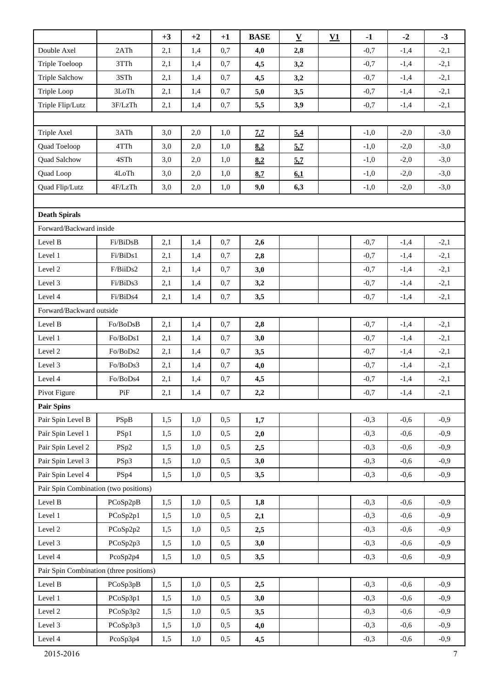|                                         |           | $+3$ | $+2$ | $+1$ | <b>BASE</b> | $\underline{\mathbf{V}}$ | V1 | $-1$   | $-2$   | $-3$   |
|-----------------------------------------|-----------|------|------|------|-------------|--------------------------|----|--------|--------|--------|
| Double Axel                             | 2ATh      | 2,1  | 1,4  | 0,7  | 4,0         | 2,8                      |    | $-0,7$ | $-1,4$ | $-2,1$ |
| Triple Toeloop                          | 3TTh      | 2,1  | 1,4  | 0,7  | 4,5         | 3,2                      |    | $-0,7$ | $-1,4$ | $-2,1$ |
| <b>Triple Salchow</b>                   | 3STh      | 2,1  | 1,4  | 0,7  | 4,5         | 3,2                      |    | $-0,7$ | $-1,4$ | $-2,1$ |
| Triple Loop                             | 3LoTh     | 2,1  | 1,4  | 0,7  | 5,0         | 3,5                      |    | $-0,7$ | $-1,4$ | $-2,1$ |
| Triple Flip/Lutz                        | 3F/LzTh   | 2,1  | 1,4  | 0,7  | 5,5         | 3,9                      |    | $-0,7$ | $-1,4$ | $-2,1$ |
|                                         |           |      |      |      |             |                          |    |        |        |        |
| Triple Axel                             | 3ATh      | 3,0  | 2,0  | 1,0  | 7.7         | 5.4                      |    | $-1,0$ | $-2,0$ | $-3,0$ |
| Quad Toeloop                            | 4TTh      | 3,0  | 2,0  | 1,0  | 8.2         | 5.7                      |    | $-1,0$ | $-2,0$ | $-3,0$ |
| Quad Salchow                            | 4STh      | 3,0  | 2,0  | 1,0  | 8.2         | 5.7                      |    | $-1,0$ | $-2,0$ | $-3,0$ |
| Quad Loop                               | 4LoTh     | 3,0  | 2,0  | 1,0  | 8,7         | 6,1                      |    | $-1,0$ | $-2,0$ | $-3,0$ |
| Quad Flip/Lutz                          | 4F/LzTh   | 3,0  | 2,0  | 1,0  | 9,0         | 6,3                      |    | $-1,0$ | $-2,0$ | $-3,0$ |
|                                         |           |      |      |      |             |                          |    |        |        |        |
| <b>Death Spirals</b>                    |           |      |      |      |             |                          |    |        |        |        |
| Forward/Backward inside                 |           |      |      |      |             |                          |    |        |        |        |
| Level B                                 | Fi/BiDsB  | 2,1  | 1,4  | 0,7  | 2,6         |                          |    | $-0,7$ | $-1,4$ | $-2,1$ |
| Level 1                                 | Fi/BiDs1  | 2,1  | 1,4  | 0,7  | 2,8         |                          |    | $-0,7$ | $-1,4$ | $-2,1$ |
| Level 2                                 | F/BiiDs2  | 2,1  | 1,4  | 0,7  | 3,0         |                          |    | $-0,7$ | $-1,4$ | $-2,1$ |
| Level 3                                 | Fi/BiDs3  | 2,1  | 1,4  | 0,7  | 3,2         |                          |    | $-0,7$ | $-1,4$ | $-2,1$ |
| Level 4                                 | Fi/BiDs4  | 2,1  | 1,4  | 0,7  | 3,5         |                          |    | $-0,7$ | $-1,4$ | $-2,1$ |
| Forward/Backward outside                |           |      |      |      |             |                          |    |        |        |        |
| Level B                                 | Fo/BoDsB  | 2,1  | 1,4  | 0,7  | 2,8         |                          |    | $-0,7$ | $-1,4$ | $-2,1$ |
| Level 1                                 | Fo/BoDs1  | 2,1  | 1,4  | 0,7  | 3,0         |                          |    | $-0,7$ | $-1,4$ | $-2,1$ |
| Level 2                                 | Fo/BoDs2  | 2,1  | 1,4  | 0,7  | 3,5         |                          |    | $-0,7$ | $-1,4$ | $-2,1$ |
| Level 3                                 | Fo/BoDs3  | 2,1  | 1,4  | 0,7  | 4,0         |                          |    | $-0,7$ | $-1,4$ | $-2,1$ |
| Level 4                                 | Fo/BoDs4  | 2,1  | 1,4  | 0,7  | 4,5         |                          |    | $-0,7$ | $-1,4$ | $-2,1$ |
| Pivot Figure                            | $\rm{Pi}$ | 2,1  | 1,4  | 0,7  | 2,2         |                          |    | $-0,7$ | $-1,4$ | $-2,1$ |
| <b>Pair Spins</b>                       |           |      |      |      |             |                          |    |        |        |        |
| Pair Spin Level B                       | PSpB      | 1,5  | 1,0  | 0,5  | 1,7         |                          |    | $-0,3$ | $-0,6$ | $-0,9$ |
| Pair Spin Level 1                       | PSp1      | 1,5  | 1,0  | 0,5  | 2,0         |                          |    | $-0,3$ | $-0,6$ | $-0,9$ |
| Pair Spin Level 2                       | PSp2      | 1,5  | 1,0  | 0,5  | 2,5         |                          |    | $-0,3$ | $-0,6$ | $-0,9$ |
| Pair Spin Level 3                       | PSp3      | 1,5  | 1,0  | 0,5  | 3,0         |                          |    | $-0,3$ | $-0,6$ | $-0,9$ |
| Pair Spin Level 4                       | PSp4      | 1,5  | 1,0  | 0,5  | 3,5         |                          |    | $-0,3$ | $-0,6$ | $-0,9$ |
| Pair Spin Combination (two positions)   |           |      |      |      |             |                          |    |        |        |        |
| Level B                                 | PCoSp2pB  | 1,5  | 1,0  | 0,5  | 1,8         |                          |    | $-0,3$ | $-0,6$ | $-0,9$ |
| Level 1                                 | PCoSp2p1  | 1,5  | 1,0  | 0,5  | 2,1         |                          |    | $-0,3$ | $-0,6$ | $-0,9$ |
| Level 2                                 | PCoSp2p2  | 1,5  | 1,0  | 0,5  | 2,5         |                          |    | $-0,3$ | $-0,6$ | $-0,9$ |
| Level 3                                 | PCoSp2p3  | 1,5  | 1,0  | 0,5  | 3,0         |                          |    | $-0,3$ | $-0,6$ | $-0,9$ |
| Level 4                                 | PcoSp2p4  | 1,5  | 1,0  | 0,5  | 3,5         |                          |    | $-0,3$ | $-0,6$ | $-0,9$ |
| Pair Spin Combination (three positions) |           |      |      |      |             |                          |    |        |        |        |
| Level B                                 | PCoSp3pB  | 1,5  | 1,0  | 0,5  | 2,5         |                          |    | $-0,3$ | $-0,6$ | $-0,9$ |
| Level 1                                 | PCoSp3p1  | 1,5  | 1,0  | 0,5  | 3,0         |                          |    | $-0,3$ | $-0,6$ | $-0,9$ |
| Level 2                                 | PCoSp3p2  | 1,5  | 1,0  | 0,5  | 3,5         |                          |    | $-0,3$ | $-0,6$ | $-0,9$ |
| Level 3                                 | PCoSp3p3  | 1,5  | 1,0  | 0,5  | 4,0         |                          |    | $-0,3$ | $-0,6$ | $-0,9$ |
| Level 4                                 | PcoSp3p4  | 1,5  | 1,0  | 0,5  | 4,5         |                          |    | $-0,3$ | $-0,6$ | $-0,9$ |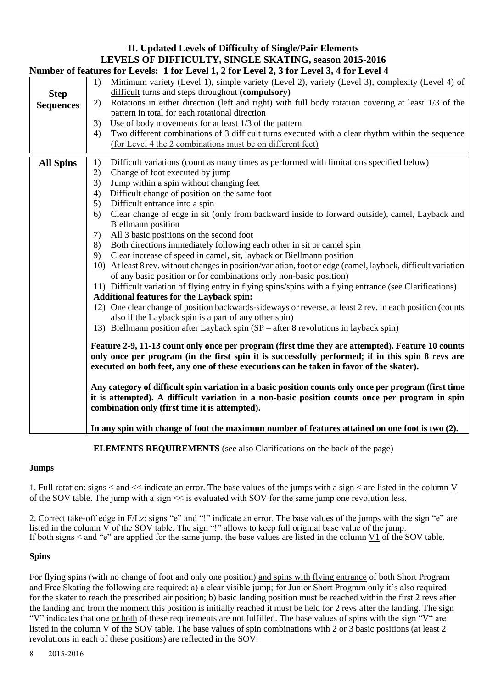## **II. Updated Levels of Difficulty of Single/Pair Elements LEVELS OF DIFFICULTY, SINGLE SKATING, season 2015-2016 Number of features for Levels: 1 for Level 1, 2 for Level 2, 3 for Level 3, 4 for Level 4 Step Sequences** 1) Minimum variety (Level 1), simple variety (Level 2), variety (Level 3), complexity (Level 4) of difficult turns and steps throughout **(compulsory)** 2) Rotations in either direction (left and right) with full body rotation covering at least 1/3 of the pattern in total for each rotational direction 3) Use of body movements for at least 1/3 of the pattern 4) Two different combinations of 3 difficult turns executed with a clear rhythm within the sequence (for Level 4 the 2 combinations must be on different feet) **All Spins** 1) Difficult variations (count as many times as performed with limitations specified below) 2) Change of foot executed by jump 3) Jump within a spin without changing feet 4) Difficult change of position on the same foot 5) Difficult entrance into a spin 6) Clear change of edge in sit (only from backward inside to forward outside), camel, Layback and Biellmann position 7) All 3 basic positions on the second foot 8) Both directions immediately following each other in sit or camel spin 9) Clear increase of speed in camel, sit, layback or Biellmann position 10) At least 8 rev. without changes in position/variation, foot or edge (camel, layback, difficult variation of any basic position or for combinations only non-basic position) 11) Difficult variation of flying entry in flying spins/spins with a flying entrance (see Clarifications) **Additional features for the Layback spin:** 12) One clear change of position backwards-sideways or reverse, at least 2 rev. in each position (counts also if the Layback spin is a part of any other spin) 13) Biellmann position after Layback spin (SP – after 8 revolutions in layback spin) **Feature 2-9, 11-13 count only once per program (first time they are attempted). Feature 10 counts only once per program (in the first spin it is successfully performed; if in this spin 8 revs are executed on both feet, any one of these executions can be taken in favor of the skater). Any category of difficult spin variation in a basic position counts only once per program (first time it is attempted). A difficult variation in a non-basic position counts once per program in spin combination only (first time it is attempted). In any spin with change of foot the maximum number of features attained on one foot is two (2).**

## **ELEMENTS REQUIREMENTS** (see also Clarifications on the back of the page)

## **Jumps**

1. Full rotation: signs < and << indicate an error. The base values of the jumps with a sign < are listed in the column V of the SOV table. The jump with a sign << is evaluated with SOV for the same jump one revolution less.

2. Correct take-off edge in F/Lz: signs "e" and "!" indicate an error. The base values of the jumps with the sign "e" are listed in the column  $\underline{V}$  of the SOV table. The sign "!" allows to keep full original base value of the jump. If both signs  $\leq$  and "e" are applied for the same jump, the base values are listed in the column  $\underline{V1}$  of the SOV table.

## **Spins**

For flying spins (with no change of foot and only one position) and spins with flying entrance of both Short Program and Free Skating the following are required: a) a clear visible jump; for Junior Short Program only it's also required for the skater to reach the prescribed air position; b) basic landing position must be reached within the first 2 revs after the landing and from the moment this position is initially reached it must be held for 2 revs after the landing. The sign "V" indicates that one or both of these requirements are not fulfilled. The base values of spins with the sign "V" are listed in the column V of the SOV table. The base values of spin combinations with 2 or 3 basic positions (at least 2 revolutions in each of these positions) are reflected in the SOV.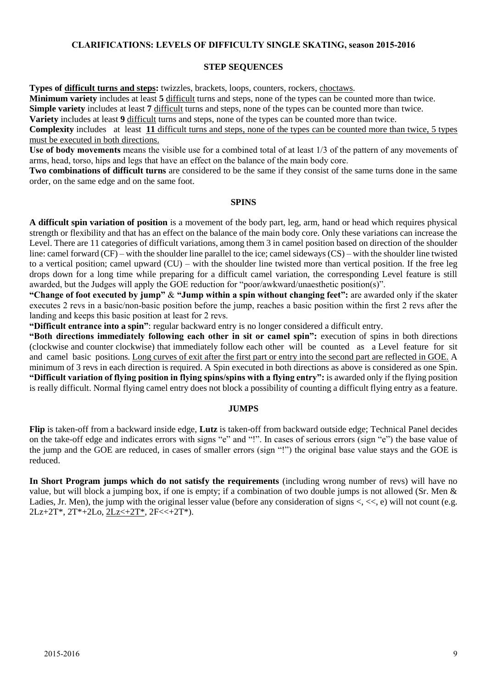## **CLARIFICATIONS: LEVELS OF DIFFICULTY SINGLE SKATING, season 2015-2016**

#### **STEP SEQUENCES**

**Types of difficult turns and steps:** twizzles, brackets, loops, counters, rockers, choctaws.

**Minimum variety** includes at least **5** difficult turns and steps, none of the types can be counted more than twice.

**Simple variety** includes at least **7** difficult turns and steps, none of the types can be counted more than twice.

**Variety** includes at least **9** difficult turns and steps, none of the types can be counted more than twice.

**Complexity** includes at least **11** difficult turns and steps, none of the types can be counted more than twice, 5 types must be executed in both directions.

**Use of body movements** means the visible use for a combined total of at least 1/3 of the pattern of any movements of arms, head, torso, hips and legs that have an effect on the balance of the main body core.

**Two combinations of difficult turns** are considered to be the same if they consist of the same turns done in the same order, on the same edge and on the same foot.

## **SPINS**

**A difficult spin variation of position** is a movement of the body part, leg, arm, hand or head which requires physical strength or flexibility and that has an effect on the balance of the main body core. Only these variations can increase the Level. There are 11 categories of difficult variations, among them 3 in camel position based on direction of the shoulder line: camel forward (CF) – with the shoulder line parallel to the ice; camel sideways (CS) – with the shoulder line twisted to a vertical position; camel upward (CU) – with the shoulder line twisted more than vertical position. If the free leg drops down for a long time while preparing for a difficult camel variation, the corresponding Level feature is still awarded, but the Judges will apply the GOE reduction for "poor/awkward/unaesthetic position(s)".

**"Change of foot executed by jump"** & **"Jump within a spin without changing feet":** are awarded only if the skater executes 2 revs in a basic/non-basic position before the jump, reaches a basic position within the first 2 revs after the landing and keeps this basic position at least for 2 revs.

**"Difficult entrance into a spin"**: regular backward entry is no longer considered a difficult entry.

**"Both directions immediately following each other in sit or camel spin":** execution of spins in both directions (clockwise and counter clockwise) that immediately follow each other will be counted as a Level feature for sit and camel basic positions. Long curves of exit after the first part or entry into the second part are reflected in GOE. A minimum of 3 revs in each direction is required. A Spin executed in both directions as above is considered as one Spin. **"Difficult variation of flying position in flying spins/spins with a flying entry":** is awarded only if the flying position is really difficult. Normal flying camel entry does not block a possibility of counting a difficult flying entry as a feature.

## **JUMPS**

**Flip** is taken-off from a backward inside edge, **Lutz** is taken-off from backward outside edge; Technical Panel decides on the take-off edge and indicates errors with signs "e" and "!". In cases of serious errors (sign "e") the base value of the jump and the GOE are reduced, in cases of smaller errors (sign "!") the original base value stays and the GOE is reduced.

**In Short Program jumps which do not satisfy the requirements** (including wrong number of revs) will have no value, but will block a jumping box, if one is empty; if a combination of two double jumps is not allowed (Sr. Men & Ladies, Jr. Men), the jump with the original lesser value (before any consideration of signs  $\langle \langle \langle \cdot | \cdot \rangle \rangle$ ) will not count (e.g. 2Lz+2T\*, 2T\*+2Lo, 2Lz<+2T\*, 2F<<+2T\*).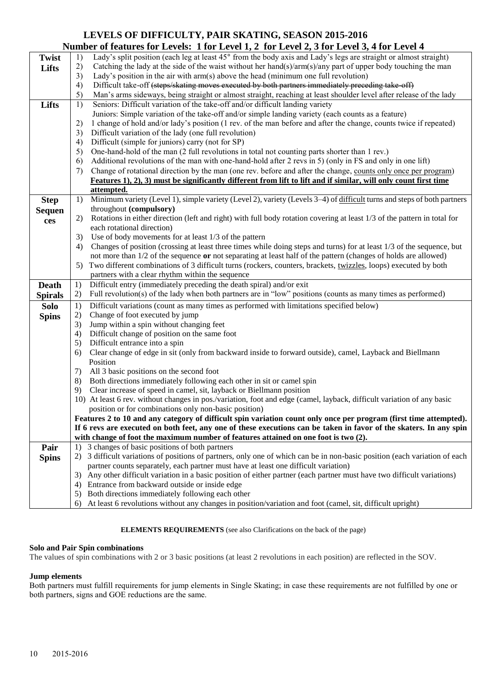## **LEVELS OF DIFFICULTY, PAIR SKATING, SEASON 2015-2016 Number of features for Levels: 1 for Level 1, 2 for Level 2, 3 for Level 3, 4 for Level 4**

|                | <b>Number</b> of reatures for Levels: 1 for Level 1, 2 for Level 2, 3 for Level 3, 4 for Level 4                                                                    |  |
|----------------|---------------------------------------------------------------------------------------------------------------------------------------------------------------------|--|
| <b>Twist</b>   | Lady's split position (each leg at least 45° from the body axis and Lady's legs are straight or almost straight)<br>1)                                              |  |
| Lifts          | 2)<br>Catching the lady at the side of the waist without her hand(s)/arm(s)/any part of upper body touching the man                                                 |  |
|                | 3)<br>Lady's position in the air with arm(s) above the head (minimum one full revolution)                                                                           |  |
|                | Difficult take-off (steps/skating moves executed by both partners immediately preceding take off)<br>4)                                                             |  |
|                | 5)<br>Man's arms sideways, being straight or almost straight, reaching at least shoulder level after release of the lady                                            |  |
| Lifts          | Seniors: Difficult variation of the take-off and/or difficult landing variety<br>1)                                                                                 |  |
|                | Juniors: Simple variation of the take-off and/or simple landing variety (each counts as a feature)                                                                  |  |
|                | 1 change of hold and/or lady's position (1 rev. of the man before and after the change, counts twice if repeated)<br>2)                                             |  |
|                | Difficult variation of the lady (one full revolution)                                                                                                               |  |
|                | 3)                                                                                                                                                                  |  |
|                | Difficult (simple for juniors) carry (not for SP)<br>4)                                                                                                             |  |
|                | One-hand-hold of the man (2 full revolutions in total not counting parts shorter than 1 rev.)<br>5)                                                                 |  |
|                | Additional revolutions of the man with one-hand-hold after 2 revs in 5) (only in FS and only in one lift)<br>6)                                                     |  |
|                | Change of rotational direction by the man (one rev. before and after the change, counts only once per program)<br>7)                                                |  |
|                | Features 1), 2), 3) must be significantly different from lift to lift and if similar, will only count first time                                                    |  |
|                | attempted.                                                                                                                                                          |  |
| <b>Step</b>    | Minimum variety (Level 1), simple variety (Level 2), variety (Levels 3–4) of difficult turns and steps of both partners<br>1)                                       |  |
| <b>Sequen</b>  | throughout (compulsory)                                                                                                                                             |  |
| ces            | Rotations in either direction (left and right) with full body rotation covering at least 1/3 of the pattern in total for<br>2)                                      |  |
|                | each rotational direction)                                                                                                                                          |  |
|                | Use of body movements for at least 1/3 of the pattern<br>3)                                                                                                         |  |
|                | Changes of position (crossing at least three times while doing steps and turns) for at least 1/3 of the sequence, but<br>4)                                         |  |
|                | not more than 1/2 of the sequence or not separating at least half of the pattern (changes of holds are allowed)                                                     |  |
|                | Two different combinations of 3 difficult turns (rockers, counters, brackets, twizzles, loops) executed by both<br>5)                                               |  |
|                |                                                                                                                                                                     |  |
|                |                                                                                                                                                                     |  |
|                | partners with a clear rhythm within the sequence                                                                                                                    |  |
| <b>Death</b>   | Difficult entry (immediately preceding the death spiral) and/or exit<br>1)                                                                                          |  |
| <b>Spirals</b> | Full revolution(s) of the lady when both partners are in "low" positions (counts as many times as performed)<br>2)                                                  |  |
| <b>Solo</b>    | Difficult variations (count as many times as performed with limitations specified below)<br>1)                                                                      |  |
| <b>Spins</b>   | Change of foot executed by jump<br>2)                                                                                                                               |  |
|                | Jump within a spin without changing feet<br>3)                                                                                                                      |  |
|                | Difficult change of position on the same foot<br>4)                                                                                                                 |  |
|                | Difficult entrance into a spin<br>5)                                                                                                                                |  |
|                | Clear change of edge in sit (only from backward inside to forward outside), camel, Layback and Biellmann<br>6)                                                      |  |
|                | Position                                                                                                                                                            |  |
|                | All 3 basic positions on the second foot<br>7)                                                                                                                      |  |
|                | Both directions immediately following each other in sit or camel spin<br>8)                                                                                         |  |
|                | Clear increase of speed in camel, sit, layback or Biellmann position<br>9)                                                                                          |  |
|                | 10) At least 6 rev. without changes in pos./variation, foot and edge (camel, layback, difficult variation of any basic                                              |  |
|                | position or for combinations only non-basic position)                                                                                                               |  |
|                | Features 2 to 10 and any category of difficult spin variation count only once per program (first time attempted).                                                   |  |
|                | If 6 revs are executed on both feet, any one of these executions can be taken in favor of the skaters. In any spin                                                  |  |
|                | with change of foot the maximum number of features attained on one foot is two (2).                                                                                 |  |
| Pair           | 3 changes of basic positions of both partners<br>1)                                                                                                                 |  |
| <b>Spins</b>   | 3 difficult variations of positions of partners, only one of which can be in non-basic position (each variation of each<br>2)                                       |  |
|                | partner counts separately, each partner must have at least one difficult variation)                                                                                 |  |
|                | Any other difficult variation in a basic position of either partner (each partner must have two difficult variations)<br>3)                                         |  |
|                | Entrance from backward outside or inside edge<br>4)                                                                                                                 |  |
|                | Both directions immediately following each other<br>5)<br>At least 6 revolutions without any changes in position/variation and foot (camel, sit, difficult upright) |  |

#### **ELEMENTS REQUIREMENTS** (see also Clarifications on the back of the page)

#### **Solo and Pair Spin combinations**

The values of spin combinations with 2 or 3 basic positions (at least 2 revolutions in each position) are reflected in the SOV.

#### **Jump elements**

Both partners must fulfill requirements for jump elements in Single Skating; in case these requirements are not fulfilled by one or both partners, signs and GOE reductions are the same.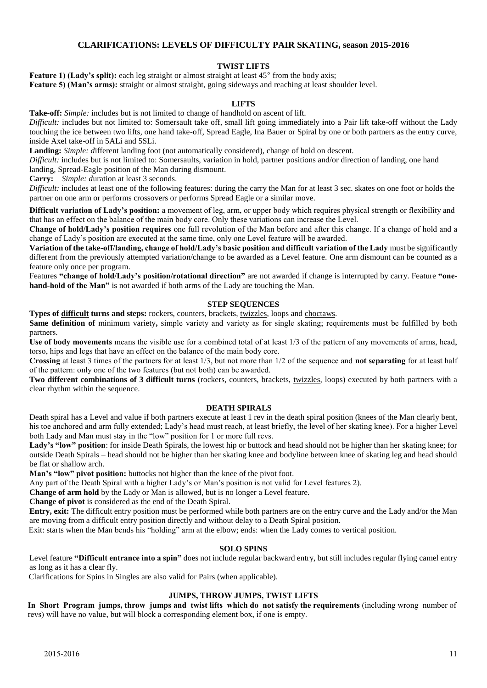## **CLARIFICATIONS: LEVELS OF DIFFICULTY PAIR SKATING, season 2015-2016**

#### **TWIST LIFTS**

**Feature 1) (Lady's split):** each leg straight or almost straight at least  $45^{\circ}$  from the body axis; Feature 5) (Man's arms): straight or almost straight, going sideways and reaching at least shoulder level.

#### **LIFTS**

**Take-off:** *Simple:* includes but is not limited to change of handhold on ascent of lift.

*Difficult:* includes but not limited to: Somersault take off, small lift going immediately into a Pair lift take-off without the Lady touching the ice between two lifts, one hand take-off, Spread Eagle, Ina Bauer or Spiral by one or both partners as the entry curve, inside Axel take-off in 5ALi and 5SLi.

**Landing:** *Simple: d*ifferent landing foot (not automatically considered), change of hold on descent.

*Difficult:* includes but is not limited to: Somersaults, variation in hold, partner positions and/or direction of landing, one hand landing, Spread-Eagle position of the Man during dismount.

**Carry:** *Simple: d*uration at least 3 seconds.

*Difficult:* includes at least one of the following features: during the carry the Man for at least 3 sec. skates on one foot or holds the partner on one arm or performs crossovers or performs Spread Eagle or a similar move.

**Difficult variation of Lady's position:** a movement of leg, arm, or upper body which requires physical strength or flexibility and that has an effect on the balance of the main body core. Only these variations can increase the Level.

**Change of hold/Lady's position requires** one full revolution of the Man before and after this change. If a change of hold and a change of Lady's position are executed at the same time, only one Level feature will be awarded.

**Variation of the take-off/landing, change of hold/Lady's basic position and difficult variation of the Lady** must be significantly different from the previously attempted variation/change to be awarded as a Level feature. One arm dismount can be counted as a feature only once per program.

Features **"change of hold/Lady's position/rotational direction"** are not awarded if change is interrupted by carry. Feature **"onehand-hold of the Man"** is not awarded if both arms of the Lady are touching the Man.

#### **STEP SEQUENCES**

**Types of difficult turns and steps:** rockers, counters, brackets, twizzles, loops and choctaws.

**Same definition of** minimum variety, simple variety and variety as for single skating; requirements must be fulfilled by both partners.

**Use of body movements** means the visible use for a combined total of at least 1/3 of the pattern of any movements of arms, head, torso, hips and legs that have an effect on the balance of the main body core.

**Crossing** at least 3 times of the partners for at least 1/3, but not more than 1/2 of the sequence and **not separating** for at least half of the pattern: only one of the two features (but not both) can be awarded.

**Two different combinations of 3 difficult turns** (rockers, counters, brackets, twizzles, loops) executed by both partners with a clear rhythm within the sequence.

#### **DEATH SPIRALS**

Death spiral has a Level and value if both partners execute at least 1 rev in the death spiral position (knees of the Man clearly bent, his toe anchored and arm fully extended; Lady's head must reach, at least briefly, the level of her skating knee). For a higher Level both Lady and Man must stay in the "low" position for 1 or more full revs.

**Lady's "low" position**: for inside Death Spirals, the lowest hip or buttock and head should not be higher than her skating knee; for outside Death Spirals – head should not be higher than her skating knee and bodyline between knee of skating leg and head should be flat or shallow arch.

**Man's "low" pivot position:** buttocks not higher than the knee of the pivot foot.

Any part of the Death Spiral with a higher Lady's or Man's position is not valid for Level features 2).

**Change of arm hold** by the Lady or Man is allowed, but is no longer a Level feature.

**Change of pivot** is considered as the end of the Death Spiral.

**Entry, exit:** The difficult entry position must be performed while both partners are on the entry curve and the Lady and/or the Man are moving from a difficult entry position directly and without delay to a Death Spiral position.

Exit: starts when the Man bends his "holding" arm at the elbow; ends: when the Lady comes to vertical position.

#### **SOLO SPINS**

Level feature **"Difficult entrance into a spin"** does not include regular backward entry, but still includes regular flying camel entry as long as it has a clear fly.

Clarifications for Spins in Singles are also valid for Pairs (when applicable).

#### **JUMPS, THROW JUMPS, TWIST LIFTS**

In Short Program jumps, throw jumps and twist lifts which do not satisfy the requirements (including wrong number of revs) will have no value, but will block a corresponding element box, if one is empty.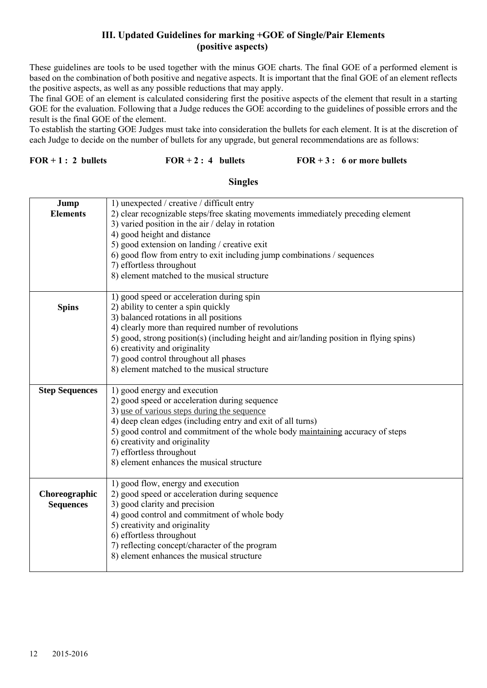## **III. Updated Guidelines for marking +GOE of Single/Pair Elements (positive aspects)**

These guidelines are tools to be used together with the minus GOE charts. The final GOE of a performed element is based on the combination of both positive and negative aspects. It is important that the final GOE of an element reflects the positive aspects, as well as any possible reductions that may apply.

The final GOE of an element is calculated considering first the positive aspects of the element that result in a starting GOE for the evaluation. Following that a Judge reduces the GOE according to the guidelines of possible errors and the result is the final GOE of the element.

To establish the starting GOE Judges must take into consideration the bullets for each element. It is at the discretion of each Judge to decide on the number of bullets for any upgrade, but general recommendations are as follows:

## **FOR + 1 : 2 bullets FOR + 2 : 4 bullets FOR + 3 : 6 or more bullets**

## **Singles**

| Jump                  | 1) unexpected / creative / difficult entry                                              |
|-----------------------|-----------------------------------------------------------------------------------------|
| <b>Elements</b>       | 2) clear recognizable steps/free skating movements immediately preceding element        |
|                       | 3) varied position in the air $/$ delay in rotation                                     |
|                       | 4) good height and distance                                                             |
|                       | 5) good extension on landing / creative exit                                            |
|                       | 6) good flow from entry to exit including jump combinations / sequences                 |
|                       | 7) effortless throughout                                                                |
|                       | 8) element matched to the musical structure                                             |
|                       |                                                                                         |
|                       | 1) good speed or acceleration during spin                                               |
| <b>Spins</b>          | 2) ability to center a spin quickly                                                     |
|                       | 3) balanced rotations in all positions                                                  |
|                       | 4) clearly more than required number of revolutions                                     |
|                       | 5) good, strong position(s) (including height and air/landing position in flying spins) |
|                       | 6) creativity and originality                                                           |
|                       |                                                                                         |
|                       | 7) good control throughout all phases                                                   |
|                       | 8) element matched to the musical structure                                             |
| <b>Step Sequences</b> | 1) good energy and execution                                                            |
|                       | 2) good speed or acceleration during sequence                                           |
|                       | 3) use of various steps during the sequence                                             |
|                       | 4) deep clean edges (including entry and exit of all turns)                             |
|                       | 5) good control and commitment of the whole body maintaining accuracy of steps          |
|                       | 6) creativity and originality                                                           |
|                       | 7) effortless throughout                                                                |
|                       |                                                                                         |
|                       | 8) element enhances the musical structure                                               |
|                       | 1) good flow, energy and execution                                                      |
| Choreographic         | 2) good speed or acceleration during sequence                                           |
| <b>Sequences</b>      | 3) good clarity and precision                                                           |
|                       | 4) good control and commitment of whole body                                            |
|                       | 5) creativity and originality                                                           |
|                       | 6) effortless throughout                                                                |
|                       | 7) reflecting concept/character of the program                                          |
|                       | 8) element enhances the musical structure                                               |
|                       |                                                                                         |
|                       |                                                                                         |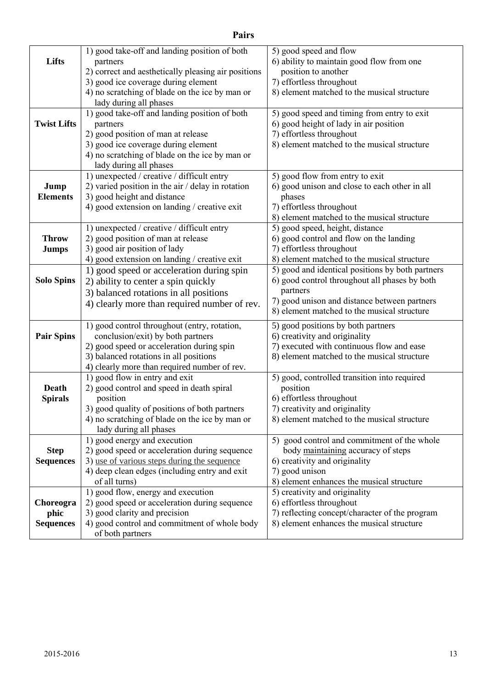|                    | 1) good take-off and landing position of both       | 5) good speed and flow                           |
|--------------------|-----------------------------------------------------|--------------------------------------------------|
| Lifts              | partners                                            | 6) ability to maintain good flow from one        |
|                    | 2) correct and aesthetically pleasing air positions | position to another                              |
|                    | 3) good ice coverage during element                 | 7) effortless throughout                         |
|                    | 4) no scratching of blade on the ice by man or      | 8) element matched to the musical structure      |
|                    | lady during all phases                              |                                                  |
|                    |                                                     |                                                  |
|                    | 1) good take-off and landing position of both       | 5) good speed and timing from entry to exit      |
| <b>Twist Lifts</b> | partners                                            | 6) good height of lady in air position           |
|                    | 2) good position of man at release                  | 7) effortless throughout                         |
|                    | 3) good ice coverage during element                 | 8) element matched to the musical structure      |
|                    | 4) no scratching of blade on the ice by man or      |                                                  |
|                    | lady during all phases                              |                                                  |
|                    | 1) unexpected / creative / difficult entry          | 5) good flow from entry to exit                  |
| Jump               | 2) varied position in the air $/$ delay in rotation | 6) good unison and close to each other in all    |
| <b>Elements</b>    | 3) good height and distance                         | phases                                           |
|                    | 4) good extension on landing / creative exit        | 7) effortless throughout                         |
|                    |                                                     | 8) element matched to the musical structure      |
|                    | 1) unexpected / creative / difficult entry          | 5) good speed, height, distance                  |
| <b>Throw</b>       | 2) good position of man at release                  | 6) good control and flow on the landing          |
| <b>Jumps</b>       | 3) good air position of lady                        | 7) effortless throughout                         |
|                    | 4) good extension on landing / creative exit        | 8) element matched to the musical structure      |
|                    | 1) good speed or acceleration during spin           | 5) good and identical positions by both partners |
| <b>Solo Spins</b>  | 2) ability to center a spin quickly                 | 6) good control throughout all phases by both    |
|                    | 3) balanced rotations in all positions              | partners                                         |
|                    |                                                     | 7) good unison and distance between partners     |
|                    | 4) clearly more than required number of rev.        | 8) element matched to the musical structure      |
|                    | 1) good control throughout (entry, rotation,        | 5) good positions by both partners               |
| <b>Pair Spins</b>  | conclusion/exit) by both partners                   | 6) creativity and originality                    |
|                    | 2) good speed or acceleration during spin           | 7) executed with continuous flow and ease        |
|                    | 3) balanced rotations in all positions              | 8) element matched to the musical structure      |
|                    | 4) clearly more than required number of rev.        |                                                  |
|                    | 1) good flow in entry and exit                      | 5) good, controlled transition into required     |
| Death              |                                                     |                                                  |
|                    | 2) good control and speed in death spiral           | position                                         |
| <b>Spirals</b>     | position                                            | 6) effortless throughout                         |
|                    | 3) good quality of positions of both partners       | 7) creativity and originality                    |
|                    | 4) no scratching of blade on the ice by man or      | 8) element matched to the musical structure      |
|                    | lady during all phases                              |                                                  |
|                    | 1) good energy and execution                        | 5) good control and commitment of the whole      |
| <b>Step</b>        | 2) good speed or acceleration during sequence       | body maintaining accuracy of steps               |
| <b>Sequences</b>   | 3) use of various steps during the sequence         | 6) creativity and originality                    |
|                    | 4) deep clean edges (including entry and exit       | 7) good unison                                   |
|                    | of all turns)                                       | 8) element enhances the musical structure        |
|                    | 1) good flow, energy and execution                  | 5) creativity and originality                    |
| Choreogra          | 2) good speed or acceleration during sequence       | 6) effortless throughout                         |
| phic               | 3) good clarity and precision                       | 7) reflecting concept/character of the program   |
| <b>Sequences</b>   | 4) good control and commitment of whole body        | 8) element enhances the musical structure        |
|                    | of both partners                                    |                                                  |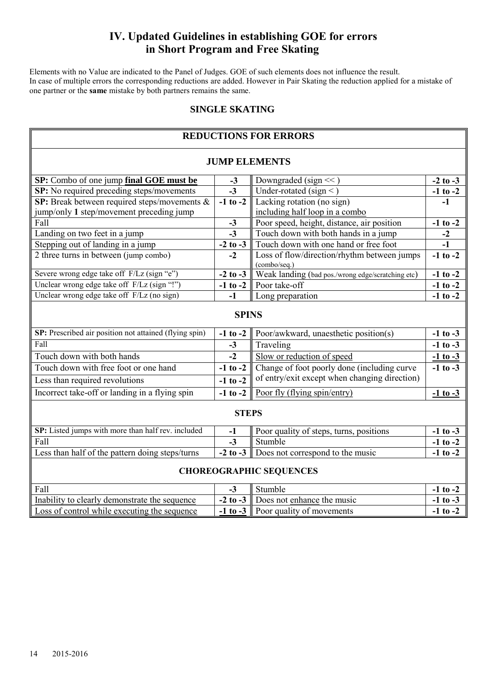## **IV. Updated Guidelines in establishing GOE for errors in Short Program and Free Skating**

Elements with no Value are indicated to the Panel of Judges. GOE of such elements does not influence the result. In case of multiple errors the corresponding reductions are added. However in Pair Skating the reduction applied for a mistake of one partner or the **same** mistake by both partners remains the same.

## **SINGLE SKATING**

|                                                        | <b>REDUCTIONS FOR ERRORS</b> |                                                             |              |  |  |  |  |  |
|--------------------------------------------------------|------------------------------|-------------------------------------------------------------|--------------|--|--|--|--|--|
| <b>JUMP ELEMENTS</b>                                   |                              |                                                             |              |  |  |  |  |  |
| SP: Combo of one jump final GOE must be                | $-3$                         | Downgraded (sign $<<$ )                                     | $-2$ to $-3$ |  |  |  |  |  |
| SP: No required preceding steps/movements              | $-3$                         | Under-rotated (sign <)                                      | $-1$ to $-2$ |  |  |  |  |  |
| SP: Break between required steps/movements &           | $-1$ to $-2$                 | Lacking rotation (no sign)                                  | $-1$         |  |  |  |  |  |
| jump/only 1 step/movement preceding jump               |                              | including half loop in a combo                              |              |  |  |  |  |  |
| Fall                                                   | $-3$                         | Poor speed, height, distance, air position                  | $-1$ to $-2$ |  |  |  |  |  |
| Landing on two feet in a jump                          | $-3$                         | Touch down with both hands in a jump                        | $-2$         |  |  |  |  |  |
| Stepping out of landing in a jump                      | $-2$ to $-3$                 | Touch down with one hand or free foot                       | $-1$         |  |  |  |  |  |
| 2 three turns in between (jump combo)                  | $-2$                         | Loss of flow/direction/rhythm between jumps<br>(combo/seq.) | $-1$ to $-2$ |  |  |  |  |  |
| Severe wrong edge take off F/Lz (sign "e")             | $-2$ to $-3$                 | Weak landing (bad pos./wrong edge/scratching etc)           | $-1$ to $-2$ |  |  |  |  |  |
| Unclear wrong edge take off F/Lz (sign "!")            | $-1$ to $-2$                 | Poor take-off                                               | $-1$ to $-2$ |  |  |  |  |  |
| Unclear wrong edge take off F/Lz (no sign)             | $-1$                         | Long preparation                                            | $-1$ to $-2$ |  |  |  |  |  |
| <b>SPINS</b>                                           |                              |                                                             |              |  |  |  |  |  |
| SP: Prescribed air position not attained (flying spin) | $-1$ to $-2$                 | Poor/awkward, unaesthetic position(s)                       | $-1$ to $-3$ |  |  |  |  |  |
| Fall                                                   | $-3$                         | Traveling                                                   | $-1$ to $-3$ |  |  |  |  |  |
| Touch down with both hands                             | $-2$                         | Slow or reduction of speed                                  | $-1$ to $-3$ |  |  |  |  |  |
| Touch down with free foot or one hand                  | $-1$ to $-2$                 | Change of foot poorly done (including curve                 | $-1$ to $-3$ |  |  |  |  |  |
| Less than required revolutions                         | $-1$ to $-2$                 | of entry/exit except when changing direction)               |              |  |  |  |  |  |
| Incorrect take-off or landing in a flying spin         | $-1$ to $-2$                 | Poor fly (flying spin/entry)                                | $-1$ to $-3$ |  |  |  |  |  |
|                                                        | <b>STEPS</b>                 |                                                             |              |  |  |  |  |  |
| SP: Listed jumps with more than half rev. included     | $-1$                         | Poor quality of steps, turns, positions                     | $-1$ to $-3$ |  |  |  |  |  |
| Fall                                                   | $-3$                         | Stumble                                                     | $-1$ to $-2$ |  |  |  |  |  |
| Less than half of the pattern doing steps/turns        | $-2$ to $-3$                 | Does not correspond to the music                            | $-1$ to $-2$ |  |  |  |  |  |
|                                                        |                              | <b>CHOREOGRAPHIC SEQUENCES</b>                              |              |  |  |  |  |  |
| Fall                                                   | $-3$                         | Stumble                                                     | $-1$ to $-2$ |  |  |  |  |  |
| Inability to clearly demonstrate the sequence          | $-2$ to $-3$                 | Does not enhance the music                                  | $-1$ to $-3$ |  |  |  |  |  |
| Loss of control while executing the sequence           | $-1$ to $-3$                 | Poor quality of movements                                   | $-1$ to $-2$ |  |  |  |  |  |